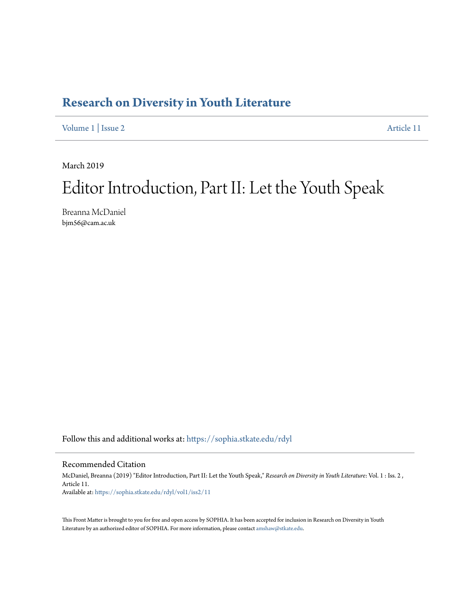## **[Research on Diversity in Youth Literature](https://sophia.stkate.edu/rdyl?utm_source=sophia.stkate.edu%2Frdyl%2Fvol1%2Fiss2%2F11&utm_medium=PDF&utm_campaign=PDFCoverPages)**

[Volume 1](https://sophia.stkate.edu/rdyl/vol1?utm_source=sophia.stkate.edu%2Frdyl%2Fvol1%2Fiss2%2F11&utm_medium=PDF&utm_campaign=PDFCoverPages) | [Issue 2](https://sophia.stkate.edu/rdyl/vol1/iss2?utm_source=sophia.stkate.edu%2Frdyl%2Fvol1%2Fiss2%2F11&utm_medium=PDF&utm_campaign=PDFCoverPages) [Article 11](https://sophia.stkate.edu/rdyl/vol1/iss2/11?utm_source=sophia.stkate.edu%2Frdyl%2Fvol1%2Fiss2%2F11&utm_medium=PDF&utm_campaign=PDFCoverPages)

March 2019

## Editor Introduction, Part II: Let the Youth Speak

Breanna McDaniel bjm56@cam.ac.uk

Follow this and additional works at: [https://sophia.stkate.edu/rdyl](https://sophia.stkate.edu/rdyl?utm_source=sophia.stkate.edu%2Frdyl%2Fvol1%2Fiss2%2F11&utm_medium=PDF&utm_campaign=PDFCoverPages)

## Recommended Citation

McDaniel, Breanna (2019) "Editor Introduction, Part II: Let the Youth Speak," *Research on Diversity in Youth Literature*: Vol. 1 : Iss. 2 , Article 11. Available at: [https://sophia.stkate.edu/rdyl/vol1/iss2/11](https://sophia.stkate.edu/rdyl/vol1/iss2/11?utm_source=sophia.stkate.edu%2Frdyl%2Fvol1%2Fiss2%2F11&utm_medium=PDF&utm_campaign=PDFCoverPages)

This Front Matter is brought to you for free and open access by SOPHIA. It has been accepted for inclusion in Research on Diversity in Youth Literature by an authorized editor of SOPHIA. For more information, please contact [amshaw@stkate.edu.](mailto:amshaw@stkate.edu)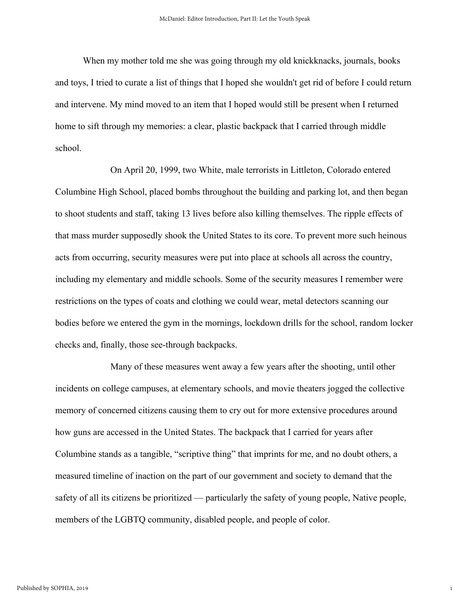When my mother told me she was going through my old knickknacks, journals, books and toys, I tried to curate a list of things that I hoped she wouldn't get rid of before I could return and intervene. My mind moved to an item that I hoped would still be present when I returned home to sift through my memories: a clear, plastic backpack that I carried through middle school.

On April 20, 1999, two White, male terrorists in Littleton, Colorado entered Columbine High School, placed bombs throughout the building and parking lot, and then began to shoot students and staff, taking 13 lives before also killing themselves. The ripple effects of that mass murder supposedly shook the United States to its core. To prevent more such heinous acts from occurring, security measures were put into place at schools all across the country, including my elementary and middle schools. Some of the security measures I remember were restrictions on the types of coats and clothing we could wear, metal detectors scanning our bodies before we entered the gym in the mornings, lockdown drills for the school, random locker checks and, finally, those see-through backpacks.

Many of these measures went away a few years after the shooting, until other incidents on college campuses, at elementary schools, and movie theaters jogged the collective memory of concerned citizens causing them to cry out for more extensive procedures around how guns are accessed in the United States. The backpack that I carried for years after Columbine stands as a tangible, "scriptive thing" that imprints for me, and no doubt others, a measured timeline of inaction on the part of our government and society to demand that the safety of all its citizens be prioritized — particularly the safety of young people, Native people, members of the LGBTQ community, disabled people, and people of color.

1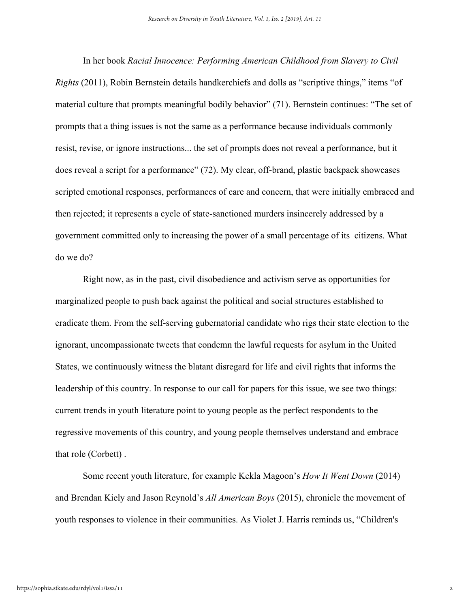In her book *Racial Innocence: Performing American Childhood from Slavery to Civil Rights* (2011), Robin Bernstein details handkerchiefs and dolls as "scriptive things," items "of material culture that prompts meaningful bodily behavior" (71). Bernstein continues: "The set of prompts that a thing issues is not the same as a performance because individuals commonly resist, revise, or ignore instructions... the set of prompts does not reveal a performance, but it does reveal a script for a performance" (72). My clear, off-brand, plastic backpack showcases scripted emotional responses, performances of care and concern, that were initially embraced and then rejected; it represents a cycle of state-sanctioned murders insincerely addressed by a government committed only to increasing the power of a small percentage of its citizens. What do we do?

Right now, as in the past, civil disobedience and activism serve as opportunities for marginalized people to push back against the political and social structures established to eradicate them. From the self-serving gubernatorial candidate who rigs their state election to the ignorant, uncompassionate tweets that condemn the lawful requests for asylum in the United States, we continuously witness the blatant disregard for life and civil rights that informs the leadership of this country. In response to our call for papers for this issue, we see two things: current trends in youth literature point to young people as the perfect respondents to the regressive movements of this country, and young people themselves understand and embrace that role (Corbett) .

Some recent youth literature, for example Kekla Magoon's *How It Went Down* (2014) and Brendan Kiely and Jason Reynold's *All American Boys* (2015), chronicle the movement of youth responses to violence in their communities. As Violet J. Harris reminds us, "Children's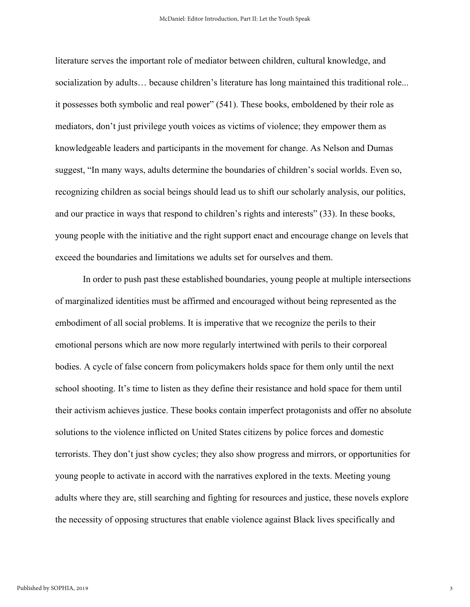literature serves the important role of mediator between children, cultural knowledge, and socialization by adults… because children's literature has long maintained this traditional role... it possesses both symbolic and real power" (541). These books, emboldened by their role as mediators, don't just privilege youth voices as victims of violence; they empower them as knowledgeable leaders and participants in the movement for change. As Nelson and Dumas suggest, "In many ways, adults determine the boundaries of children's social worlds. Even so, recognizing children as social beings should lead us to shift our scholarly analysis, our politics, and our practice in ways that respond to children's rights and interests" (33). In these books, young people with the initiative and the right support enact and encourage change on levels that exceed the boundaries and limitations we adults set for ourselves and them.

In order to push past these established boundaries, young people at multiple intersections of marginalized identities must be affirmed and encouraged without being represented as the embodiment of all social problems. It is imperative that we recognize the perils to their emotional persons which are now more regularly intertwined with perils to their corporeal bodies. A cycle of false concern from policymakers holds space for them only until the next school shooting. It's time to listen as they define their resistance and hold space for them until their activism achieves justice. These books contain imperfect protagonists and offer no absolute solutions to the violence inflicted on United States citizens by police forces and domestic terrorists. They don't just show cycles; they also show progress and mirrors, or opportunities for young people to activate in accord with the narratives explored in the texts. Meeting young adults where they are, still searching and fighting for resources and justice, these novels explore the necessity of opposing structures that enable violence against Black lives specifically and

3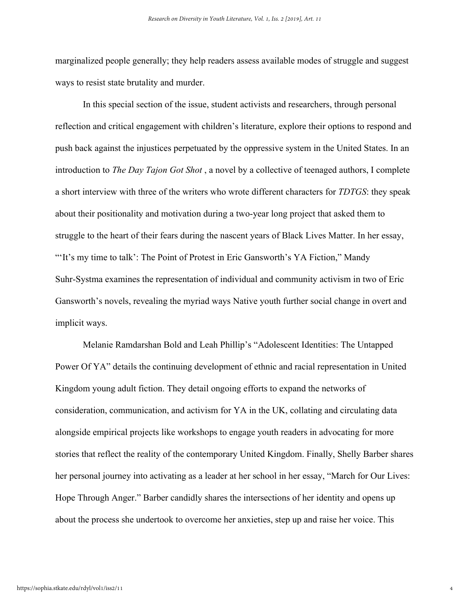marginalized people generally; they help readers assess available modes of struggle and suggest ways to resist state brutality and murder.

In this special section of the issue, student activists and researchers, through personal reflection and critical engagement with children's literature, explore their options to respond and push back against the injustices perpetuated by the oppressive system in the United States. In an introduction to *The Day Tajon Got Shot* , a novel by a collective of teenaged authors, I complete a short interview with three of the writers who wrote different characters for *TDTGS*: they speak about their positionality and motivation during a two-year long project that asked them to struggle to the heart of their fears during the nascent years of Black Lives Matter. In her essay, "'It's my time to talk': The Point of Protest in Eric Gansworth's YA Fiction," Mandy Suhr-Systma examines the representation of individual and community activism in two of Eric Gansworth's novels, revealing the myriad ways Native youth further social change in overt and implicit ways.

Melanie Ramdarshan Bold and Leah Phillip's "Adolescent Identities: The Untapped Power Of YA" details the continuing development of ethnic and racial representation in United Kingdom young adult fiction. They detail ongoing efforts to expand the networks of consideration, communication, and activism for YA in the UK, collating and circulating data alongside empirical projects like workshops to engage youth readers in advocating for more stories that reflect the reality of the contemporary United Kingdom. Finally, Shelly Barber shares her personal journey into activating as a leader at her school in her essay, "March for Our Lives: Hope Through Anger." Barber candidly shares the intersections of her identity and opens up about the process she undertook to overcome her anxieties, step up and raise her voice. This

4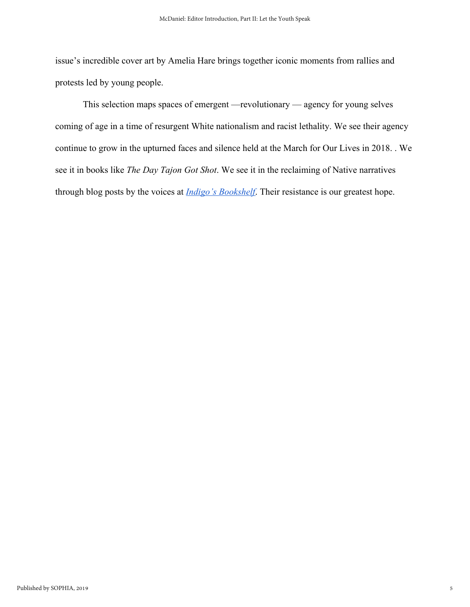issue's incredible cover art by Amelia Hare brings together iconic moments from rallies and protests led by young people.

This selection maps spaces of emergent —revolutionary — agency for young selves coming of age in a time of resurgent White nationalism and racist lethality. We see their agency continue to grow in the upturned faces and silence held at the March for Our Lives in 2018. . We see it in books like *The Day Tajon Got Shot*. We see it in the reclaiming of Native narratives through blog posts by the voices a[t](https://indigosbookshelf.blogspot.com/2018/11/welcome-to-indigos-bookshelf.html) *[Indigo's Bookshelf](https://indigosbookshelf.blogspot.com/2018/11/welcome-to-indigos-bookshelf.html)*. Their resistance is our greatest hope.